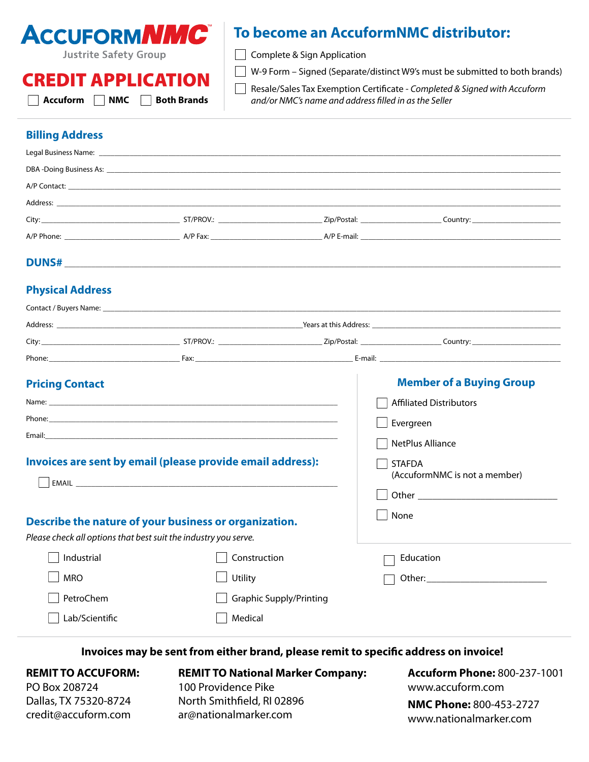

# **To become an AccuformNMC distributor:**

 $\Box$  Complete & Sign Application

 $\Box$  W-9 Form – Signed (Separate/distinct W9's must be submitted to both brands)

CREDIT APPLICATION

**Accuform NMC Both Brands**

Resale/Sales Tax Exemption Certificate - *Completed & Signed with Accuform and/or NMC's name and address filled in as the Seller*

## **Billing Address**

| <b>Physical Address</b> |  |  |
|-------------------------|--|--|

|                                                                 |                                                       | City: City: City: City: City: City: City: City: City: City: Country: Country: Country: Country: Country: Country: Country: Country: Country: Country: Country: Country: Country: Country: Country: Country: Country: Country:  |  |
|-----------------------------------------------------------------|-------------------------------------------------------|--------------------------------------------------------------------------------------------------------------------------------------------------------------------------------------------------------------------------------|--|
|                                                                 |                                                       | Phone: E-mail: E-mail: E-mail: E-mail: E-mail: E-mail: E-mail: E-mail: E-mail: E-mail: E-mail: E-mail: E-mail: E-mail: E-mail: E-mail: E-mail: E-mail: E-mail: E-mail: E-mail: E-mail: E-mail: E-mail: E-mail: E-mail: E-mail: |  |
| <b>Pricing Contact</b>                                          |                                                       | <b>Member of a Buying Group</b>                                                                                                                                                                                                |  |
|                                                                 |                                                       | <b>Affiliated Distributors</b>                                                                                                                                                                                                 |  |
|                                                                 |                                                       | Evergreen                                                                                                                                                                                                                      |  |
|                                                                 |                                                       | <b>NetPlus Alliance</b>                                                                                                                                                                                                        |  |
| Invoices are sent by email (please provide email address):      |                                                       | <b>STAFDA</b><br>(AccuformNMC is not a member)                                                                                                                                                                                 |  |
|                                                                 |                                                       |                                                                                                                                                                                                                                |  |
| Please check all options that best suit the industry you serve. | Describe the nature of your business or organization. | None                                                                                                                                                                                                                           |  |
| Industrial                                                      | Construction                                          | Education                                                                                                                                                                                                                      |  |
| <b>MRO</b>                                                      | Utility                                               |                                                                                                                                                                                                                                |  |
| PetroChem                                                       | <b>Graphic Supply/Printing</b>                        |                                                                                                                                                                                                                                |  |
| Lab/Scientific                                                  | Medical                                               |                                                                                                                                                                                                                                |  |

**Invoices may be sent from either brand, please remit to specific address on invoice!**

#### **REMIT TO ACCUFORM:**

PO Box 208724 Dallas, TX 75320-8724 [credit@accuform.com](mailto:credit%40accuform.com?subject=) **REMIT TO National Marker Company:** 100 Providence Pike North Smithfield, RI 02896 [ar@nationalmarker.com](mailto:ar%40nationalmarker.com?subject=)

**Accuform Phone:** 800-237-1001 [www.accuform.com](https://www.accuform.com/)

**NMC Phone:** 800-453-2727 [www.nationalmarker.com](http://www.nationalmarker.com)